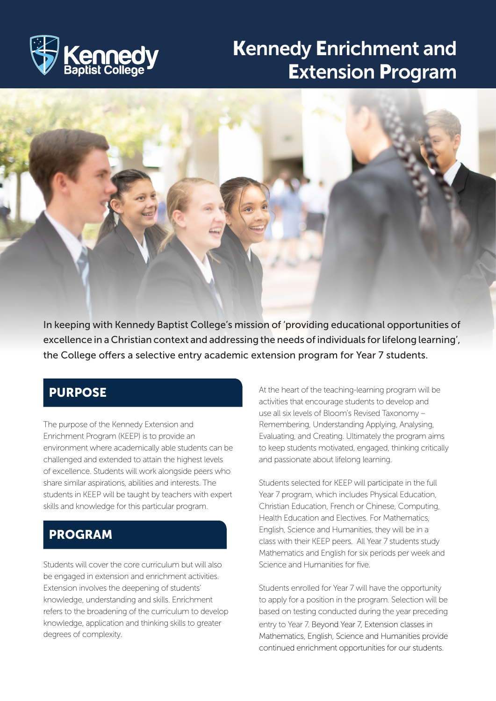

# Kennedy Enrichment and Extension Program



In keeping with Kennedy Baptist College's mission of 'providing educational opportunities of excellence in a Christian context and addressing the needs of individuals for lifelong learning', the College offers a selective entry academic extension program for Year 7 students.

#### PURPOSE

I

The purpose of the Kennedy Extension and Enrichment Program (KEEP) is to provide an environment where academically able students can be challenged and extended to attain the highest levels of excellence. Students will work alongside peers who share similar aspirations, abilities and interests. The students in KEEP will be taught by teachers with expert skills and knowledge for this particular program.

#### PROGRAM

Students will cover the core curriculum but will also be engaged in extension and enrichment activities. Extension involves the deepening of students' knowledge, understanding and skills. Enrichment refers to the broadening of the curriculum to develop knowledge, application and thinking skills to greater degrees of complexity.

At the heart of the teaching-learning program will be activities that encourage students to develop and use all six levels of Bloom's Revised Taxonomy – Remembering, Understanding Applying, Analysing, Evaluating, and Creating. Ultimately the program aims to keep students motivated, engaged, thinking critically and passionate about lifelong learning.

Students selected for KEEP will participate in the full Year 7 program, which includes Physical Education, Christian Education, French or Chinese, Computing, Health Education and Electives. For Mathematics, English, Science and Humanities, they will be in a class with their KEEP peers. All Year 7 students study Mathematics and English for six periods per week and Science and Humanities for five.

Students enrolled for Year 7 will have the opportunity to apply for a position in the program. Selection will be based on testing conducted during the year preceding entry to Year 7. Beyond Year 7, Extension classes in Mathematics, English, Science and Humanities provide continued enrichment opportunities for our students.